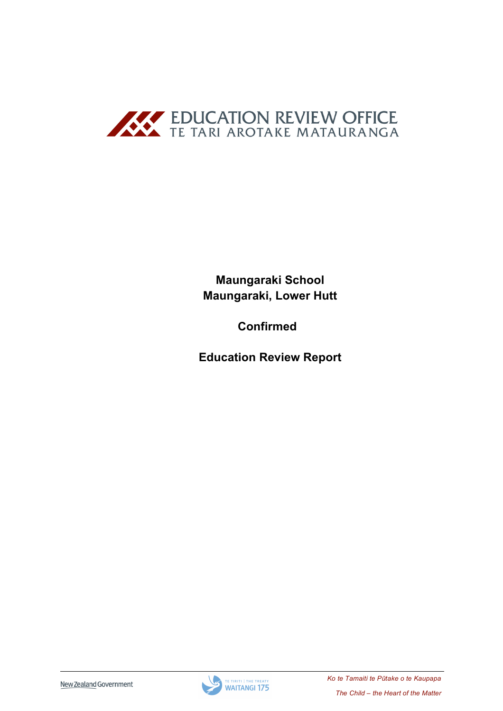

**Maungaraki School** Maungaraki, Lower Hutt

**Confirmed** 

**Education Review Report** 

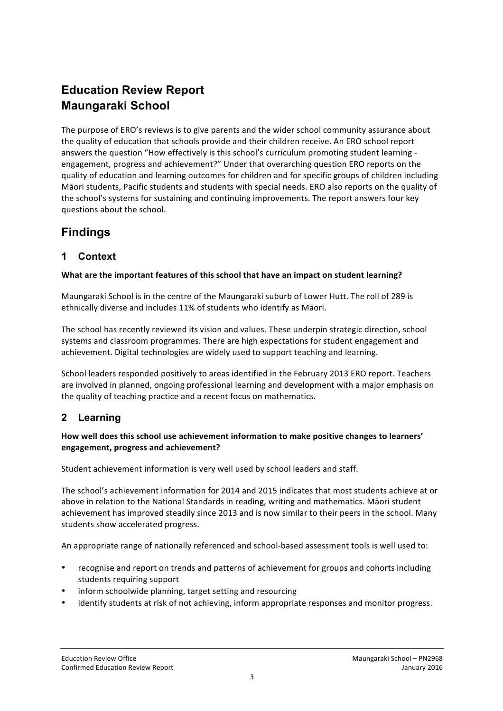# **Education Review Report Maungaraki School**

The purpose of ERO's reviews is to give parents and the wider school community assurance about the quality of education that schools provide and their children receive. An ERO school report answers the question "How effectively is this school's curriculum promoting student learning engagement, progress and achievement?" Under that overarching question ERO reports on the quality of education and learning outcomes for children and for specific groups of children including Māori students, Pacific students and students with special needs. ERO also reports on the quality of the school's systems for sustaining and continuing improvements. The report answers four key questions about the school.

## **Findings**

## **1 Context**

#### **What are the important features of this school that have an impact on student learning?**

Maungaraki School is in the centre of the Maungaraki suburb of Lower Hutt. The roll of 289 is ethnically diverse and includes 11% of students who identify as Māori.

The school has recently reviewed its vision and values. These underpin strategic direction, school systems and classroom programmes. There are high expectations for student engagement and achievement. Digital technologies are widely used to support teaching and learning.

School leaders responded positively to areas identified in the February 2013 ERO report. Teachers are involved in planned, ongoing professional learning and development with a major emphasis on the quality of teaching practice and a recent focus on mathematics.

## **2 Learning**

#### How well does this school use achievement information to make positive changes to learners' **engagement, progress and achievement?**

Student achievement information is very well used by school leaders and staff.

The school's achievement information for 2014 and 2015 indicates that most students achieve at or above in relation to the National Standards in reading, writing and mathematics. Māori student achievement has improved steadily since 2013 and is now similar to their peers in the school. Many students show accelerated progress.

An appropriate range of nationally referenced and school-based assessment tools is well used to:

- recognise and report on trends and patterns of achievement for groups and cohorts including students requiring support
- inform schoolwide planning, target setting and resourcing
- identify students at risk of not achieving, inform appropriate responses and monitor progress.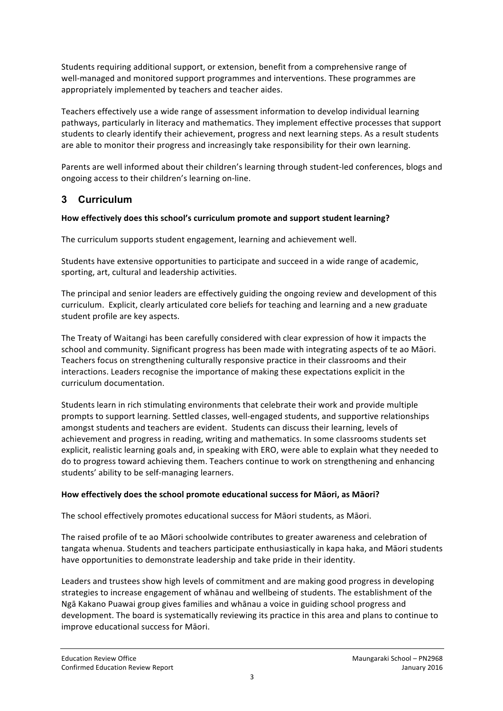Students requiring additional support, or extension, benefit from a comprehensive range of well-managed and monitored support programmes and interventions. These programmes are appropriately implemented by teachers and teacher aides.

Teachers effectively use a wide range of assessment information to develop individual learning pathways, particularly in literacy and mathematics. They implement effective processes that support students to clearly identify their achievement, progress and next learning steps. As a result students are able to monitor their progress and increasingly take responsibility for their own learning.

Parents are well informed about their children's learning through student-led conferences, blogs and ongoing access to their children's learning on-line.

## **3 Curriculum**

#### How effectively does this school's curriculum promote and support student learning?

The curriculum supports student engagement, learning and achievement well.

Students have extensive opportunities to participate and succeed in a wide range of academic, sporting, art, cultural and leadership activities.

The principal and senior leaders are effectively guiding the ongoing review and development of this curriculum. Explicit, clearly articulated core beliefs for teaching and learning and a new graduate student profile are key aspects.

The Treaty of Waitangi has been carefully considered with clear expression of how it impacts the school and community. Significant progress has been made with integrating aspects of te ao Māori. Teachers focus on strengthening culturally responsive practice in their classrooms and their interactions. Leaders recognise the importance of making these expectations explicit in the curriculum documentation.

Students learn in rich stimulating environments that celebrate their work and provide multiple prompts to support learning. Settled classes, well-engaged students, and supportive relationships amongst students and teachers are evident. Students can discuss their learning, levels of achievement and progress in reading, writing and mathematics. In some classrooms students set explicit, realistic learning goals and, in speaking with ERO, were able to explain what they needed to do to progress toward achieving them. Teachers continue to work on strengthening and enhancing students' ability to be self-managing learners.

#### How effectively does the school promote educational success for Māori, as Māori?

The school effectively promotes educational success for Māori students, as Māori.

The raised profile of te ao Māori schoolwide contributes to greater awareness and celebration of tangata whenua. Students and teachers participate enthusiastically in kapa haka, and Māori students have opportunities to demonstrate leadership and take pride in their identity.

Leaders and trustees show high levels of commitment and are making good progress in developing strategies to increase engagement of whanau and wellbeing of students. The establishment of the Ngā Kakano Puawai group gives families and whānau a voice in guiding school progress and development. The board is systematically reviewing its practice in this area and plans to continue to improve educational success for Māori.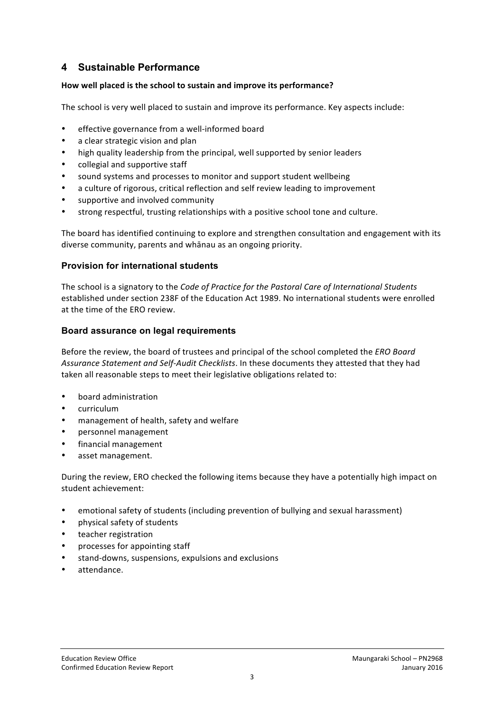## **4 Sustainable Performance**

#### How well placed is the school to sustain and improve its performance?

The school is very well placed to sustain and improve its performance. Key aspects include:

- effective governance from a well-informed board
- a clear strategic vision and plan
- high quality leadership from the principal, well supported by senior leaders
- collegial and supportive staff
- sound systems and processes to monitor and support student wellbeing
- a culture of rigorous, critical reflection and self review leading to improvement
- supportive and involved community
- strong respectful, trusting relationships with a positive school tone and culture.

The board has identified continuing to explore and strengthen consultation and engagement with its diverse community, parents and whānau as an ongoing priority.

#### **Provision for international students**

The school is a signatory to the *Code of Practice for the Pastoral Care of International Students* established under section 238F of the Education Act 1989. No international students were enrolled at the time of the ERO review.

#### **Board assurance on legal requirements**

Before the review, the board of trustees and principal of the school completed the *ERO Board* Assurance Statement and Self-Audit Checklists. In these documents they attested that they had taken all reasonable steps to meet their legislative obligations related to:

- board administration
- curriculum
- management of health, safety and welfare
- personnel management
- financial management
- asset management.

During the review, ERO checked the following items because they have a potentially high impact on student achievement:

- emotional safety of students (including prevention of bullying and sexual harassment)
- physical safety of students
- teacher registration
- processes for appointing staff
- stand-downs, suspensions, expulsions and exclusions
- attendance.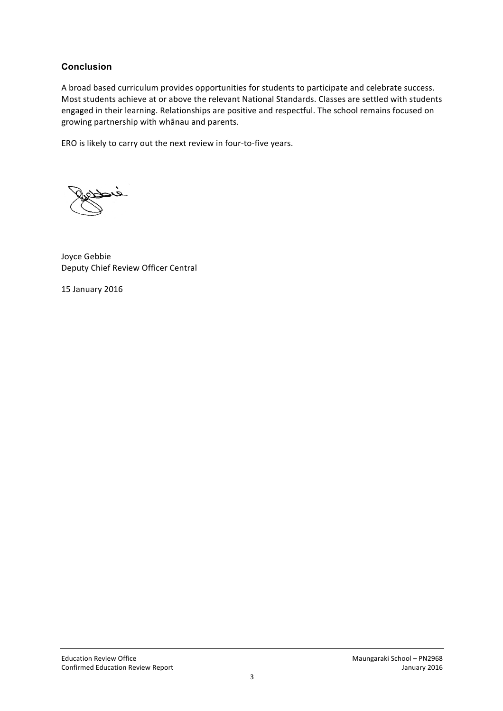#### **Conclusion**

A broad based curriculum provides opportunities for students to participate and celebrate success. Most students achieve at or above the relevant National Standards. Classes are settled with students engaged in their learning. Relationships are positive and respectful. The school remains focused on growing partnership with whānau and parents.

ERO is likely to carry out the next review in four-to-five years.

Joyce Gebbie Deputy Chief Review Officer Central

15 January 2016